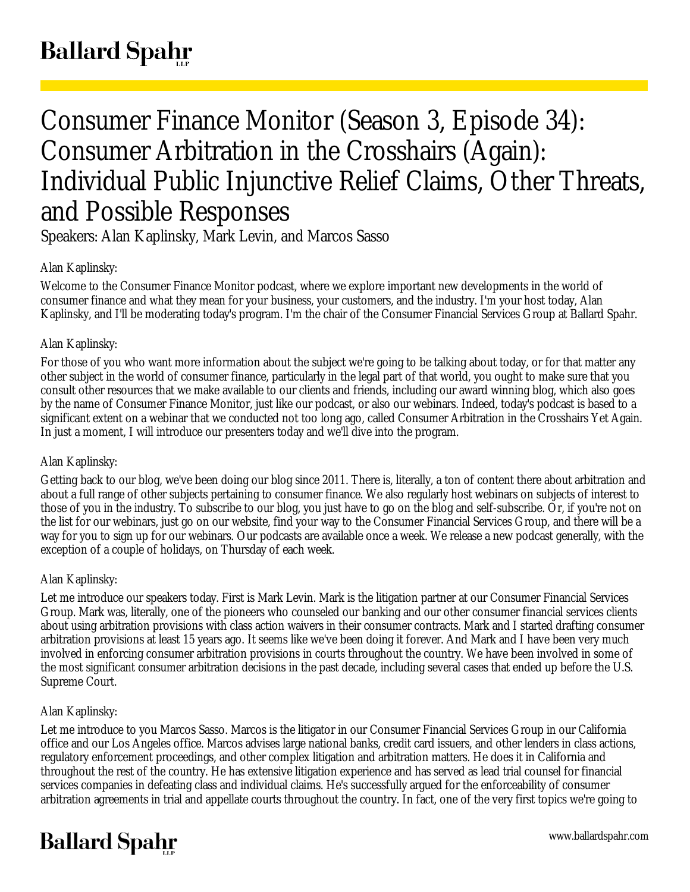# Consumer Finance Monitor (Season 3, Episode 34): Consumer Arbitration in the Crosshairs (Again): Individual Public Injunctive Relief Claims, Other Threats, and Possible Responses

Speakers: Alan Kaplinsky, Mark Levin, and Marcos Sasso

## Alan Kaplinsky:

Welcome to the Consumer Finance Monitor podcast, where we explore important new developments in the world of consumer finance and what they mean for your business, your customers, and the industry. I'm your host today, Alan Kaplinsky, and I'll be moderating today's program. I'm the chair of the Consumer Financial Services Group at Ballard Spahr.

## Alan Kaplinsky:

For those of you who want more information about the subject we're going to be talking about today, or for that matter any other subject in the world of consumer finance, particularly in the legal part of that world, you ought to make sure that you consult other resources that we make available to our clients and friends, including our award winning blog, which also goes by the name of Consumer Finance Monitor, just like our podcast, or also our webinars. Indeed, today's podcast is based to a significant extent on a webinar that we conducted not too long ago, called Consumer Arbitration in the Crosshairs Yet Again. In just a moment, I will introduce our presenters today and we'll dive into the program.

## Alan Kaplinsky:

Getting back to our blog, we've been doing our blog since 2011. There is, literally, a ton of content there about arbitration and about a full range of other subjects pertaining to consumer finance. We also regularly host webinars on subjects of interest to those of you in the industry. To subscribe to our blog, you just have to go on the blog and self-subscribe. Or, if you're not on the list for our webinars, just go on our website, find your way to the Consumer Financial Services Group, and there will be a way for you to sign up for our webinars. Our podcasts are available once a week. We release a new podcast generally, with the exception of a couple of holidays, on Thursday of each week.

## Alan Kaplinsky:

Let me introduce our speakers today. First is Mark Levin. Mark is the litigation partner at our Consumer Financial Services Group. Mark was, literally, one of the pioneers who counseled our banking and our other consumer financial services clients about using arbitration provisions with class action waivers in their consumer contracts. Mark and I started drafting consumer arbitration provisions at least 15 years ago. It seems like we've been doing it forever. And Mark and I have been very much involved in enforcing consumer arbitration provisions in courts throughout the country. We have been involved in some of the most significant consumer arbitration decisions in the past decade, including several cases that ended up before the U.S. Supreme Court.

#### Alan Kaplinsky:

Let me introduce to you Marcos Sasso. Marcos is the litigator in our Consumer Financial Services Group in our California office and our Los Angeles office. Marcos advises large national banks, credit card issuers, and other lenders in class actions, regulatory enforcement proceedings, and other complex litigation and arbitration matters. He does it in California and throughout the rest of the country. He has extensive litigation experience and has served as lead trial counsel for financial services companies in defeating class and individual claims. He's successfully argued for the enforceability of consumer arbitration agreements in trial and appellate courts throughout the country. In fact, one of the very first topics we're going to

## **Ballard Spahr**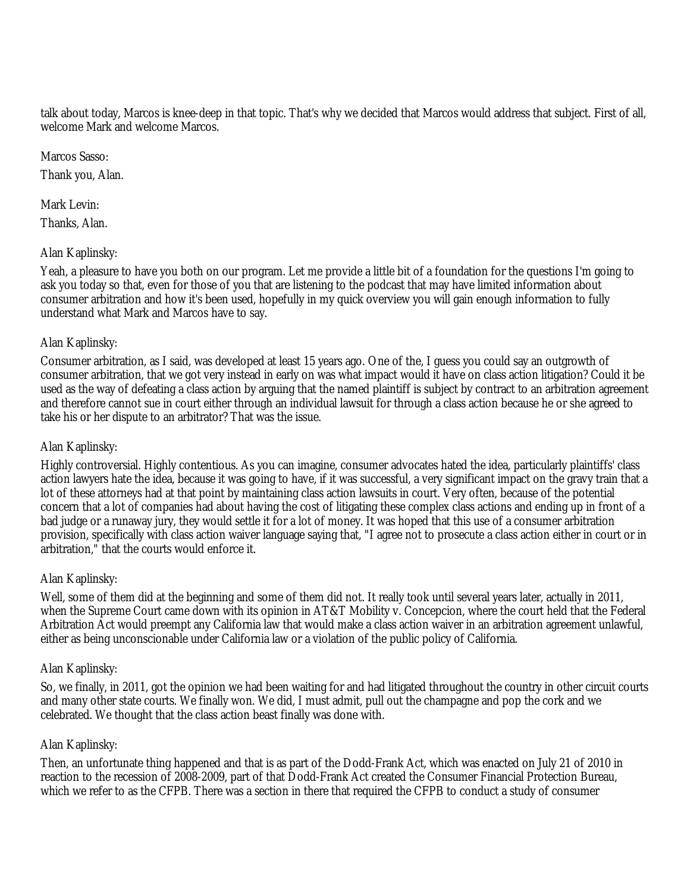talk about today, Marcos is knee-deep in that topic. That's why we decided that Marcos would address that subject. First of all, welcome Mark and welcome Marcos.

Marcos Sasso:

Thank you, Alan.

Mark Levin:

Thanks, Alan.

### Alan Kaplinsky:

Yeah, a pleasure to have you both on our program. Let me provide a little bit of a foundation for the questions I'm going to ask you today so that, even for those of you that are listening to the podcast that may have limited information about consumer arbitration and how it's been used, hopefully in my quick overview you will gain enough information to fully understand what Mark and Marcos have to say.

### Alan Kaplinsky:

Consumer arbitration, as I said, was developed at least 15 years ago. One of the, I guess you could say an outgrowth of consumer arbitration, that we got very instead in early on was what impact would it have on class action litigation? Could it be used as the way of defeating a class action by arguing that the named plaintiff is subject by contract to an arbitration agreement and therefore cannot sue in court either through an individual lawsuit for through a class action because he or she agreed to take his or her dispute to an arbitrator? That was the issue.

#### Alan Kaplinsky:

Highly controversial. Highly contentious. As you can imagine, consumer advocates hated the idea, particularly plaintiffs' class action lawyers hate the idea, because it was going to have, if it was successful, a very significant impact on the gravy train that a lot of these attorneys had at that point by maintaining class action lawsuits in court. Very often, because of the potential concern that a lot of companies had about having the cost of litigating these complex class actions and ending up in front of a bad judge or a runaway jury, they would settle it for a lot of money. It was hoped that this use of a consumer arbitration provision, specifically with class action waiver language saying that, "I agree not to prosecute a class action either in court or in arbitration," that the courts would enforce it.

#### Alan Kaplinsky:

Well, some of them did at the beginning and some of them did not. It really took until several years later, actually in 2011, when the Supreme Court came down with its opinion in AT&T Mobility v. Concepcion, where the court held that the Federal Arbitration Act would preempt any California law that would make a class action waiver in an arbitration agreement unlawful, either as being unconscionable under California law or a violation of the public policy of California.

#### Alan Kaplinsky:

So, we finally, in 2011, got the opinion we had been waiting for and had litigated throughout the country in other circuit courts and many other state courts. We finally won. We did, I must admit, pull out the champagne and pop the cork and we celebrated. We thought that the class action beast finally was done with.

#### Alan Kaplinsky:

Then, an unfortunate thing happened and that is as part of the Dodd-Frank Act, which was enacted on July 21 of 2010 in reaction to the recession of 2008-2009, part of that Dodd-Frank Act created the Consumer Financial Protection Bureau, which we refer to as the CFPB. There was a section in there that required the CFPB to conduct a study of consumer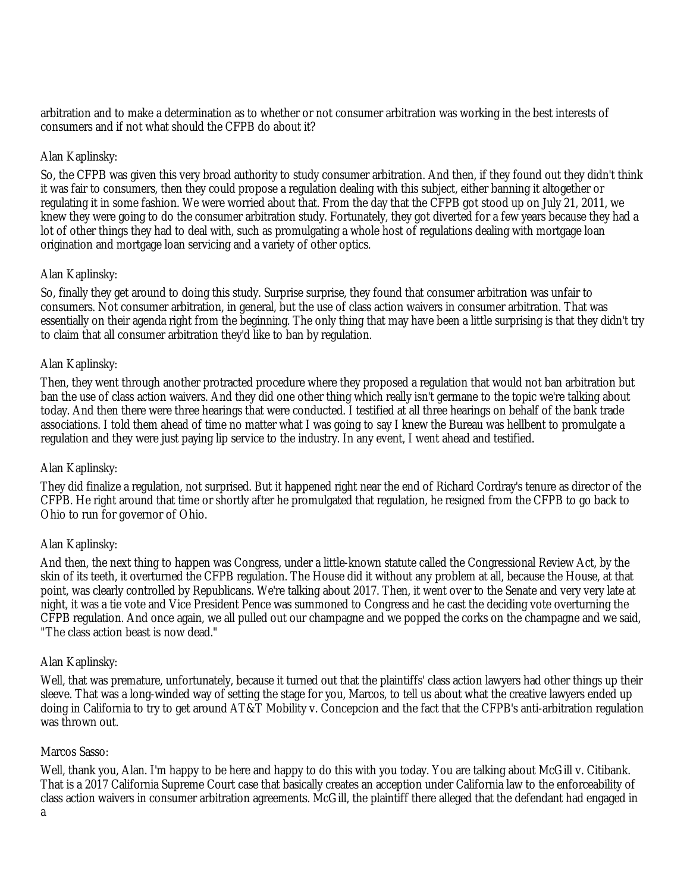arbitration and to make a determination as to whether or not consumer arbitration was working in the best interests of consumers and if not what should the CFPB do about it?

### Alan Kaplinsky:

So, the CFPB was given this very broad authority to study consumer arbitration. And then, if they found out they didn't think it was fair to consumers, then they could propose a regulation dealing with this subject, either banning it altogether or regulating it in some fashion. We were worried about that. From the day that the CFPB got stood up on July 21, 2011, we knew they were going to do the consumer arbitration study. Fortunately, they got diverted for a few years because they had a lot of other things they had to deal with, such as promulgating a whole host of regulations dealing with mortgage loan origination and mortgage loan servicing and a variety of other optics.

### Alan Kaplinsky:

So, finally they get around to doing this study. Surprise surprise, they found that consumer arbitration was unfair to consumers. Not consumer arbitration, in general, but the use of class action waivers in consumer arbitration. That was essentially on their agenda right from the beginning. The only thing that may have been a little surprising is that they didn't try to claim that all consumer arbitration they'd like to ban by regulation.

#### Alan Kaplinsky:

Then, they went through another protracted procedure where they proposed a regulation that would not ban arbitration but ban the use of class action waivers. And they did one other thing which really isn't germane to the topic we're talking about today. And then there were three hearings that were conducted. I testified at all three hearings on behalf of the bank trade associations. I told them ahead of time no matter what I was going to say I knew the Bureau was hellbent to promulgate a regulation and they were just paying lip service to the industry. In any event, I went ahead and testified.

#### Alan Kaplinsky:

They did finalize a regulation, not surprised. But it happened right near the end of Richard Cordray's tenure as director of the CFPB. He right around that time or shortly after he promulgated that regulation, he resigned from the CFPB to go back to Ohio to run for governor of Ohio.

#### Alan Kaplinsky:

And then, the next thing to happen was Congress, under a little-known statute called the Congressional Review Act, by the skin of its teeth, it overturned the CFPB regulation. The House did it without any problem at all, because the House, at that point, was clearly controlled by Republicans. We're talking about 2017. Then, it went over to the Senate and very very late at night, it was a tie vote and Vice President Pence was summoned to Congress and he cast the deciding vote overturning the CFPB regulation. And once again, we all pulled out our champagne and we popped the corks on the champagne and we said, "The class action beast is now dead."

#### Alan Kaplinsky:

Well, that was premature, unfortunately, because it turned out that the plaintiffs' class action lawyers had other things up their sleeve. That was a long-winded way of setting the stage for you, Marcos, to tell us about what the creative lawyers ended up doing in California to try to get around AT&T Mobility v. Concepcion and the fact that the CFPB's anti-arbitration regulation was thrown out.

#### Marcos Sasso:

Well, thank you, Alan. I'm happy to be here and happy to do this with you today. You are talking about McGill v. Citibank. That is a 2017 California Supreme Court case that basically creates an acception under California law to the enforceability of class action waivers in consumer arbitration agreements. McGill, the plaintiff there alleged that the defendant had engaged in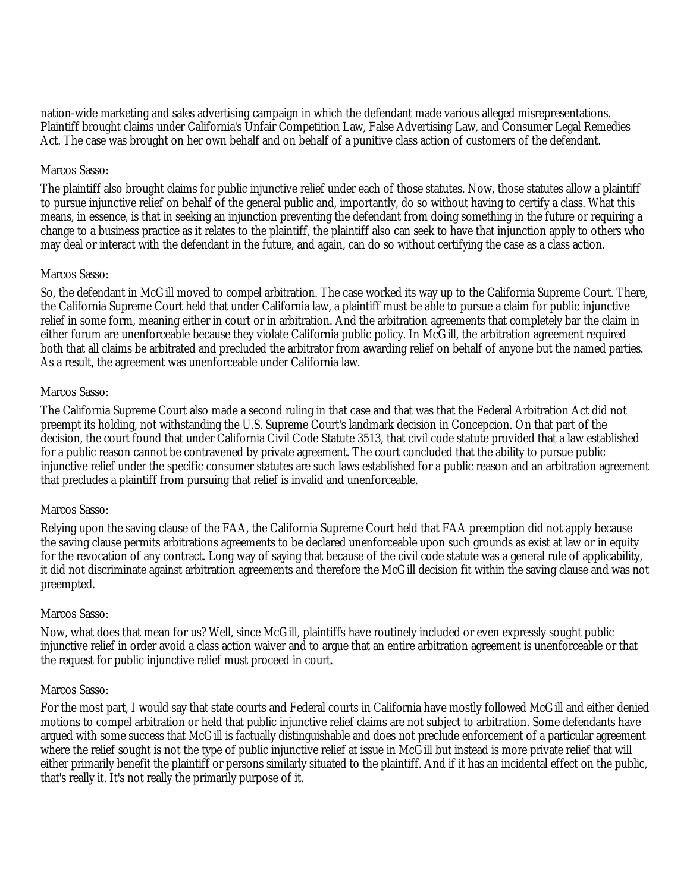nation-wide marketing and sales advertising campaign in which the defendant made various alleged misrepresentations. Plaintiff brought claims under California's Unfair Competition Law, False Advertising Law, and Consumer Legal Remedies Act. The case was brought on her own behalf and on behalf of a punitive class action of customers of the defendant.

#### Marcos Sasso:

The plaintiff also brought claims for public injunctive relief under each of those statutes. Now, those statutes allow a plaintiff to pursue injunctive relief on behalf of the general public and, importantly, do so without having to certify a class. What this means, in essence, is that in seeking an injunction preventing the defendant from doing something in the future or requiring a change to a business practice as it relates to the plaintiff, the plaintiff also can seek to have that injunction apply to others who may deal or interact with the defendant in the future, and again, can do so without certifying the case as a class action.

### Marcos Sasso:

So, the defendant in McGill moved to compel arbitration. The case worked its way up to the California Supreme Court. There, the California Supreme Court held that under California law, a plaintiff must be able to pursue a claim for public injunctive relief in some form, meaning either in court or in arbitration. And the arbitration agreements that completely bar the claim in either forum are unenforceable because they violate California public policy. In McGill, the arbitration agreement required both that all claims be arbitrated and precluded the arbitrator from awarding relief on behalf of anyone but the named parties. As a result, the agreement was unenforceable under California law.

### Marcos Sasso:

The California Supreme Court also made a second ruling in that case and that was that the Federal Arbitration Act did not preempt its holding, not withstanding the U.S. Supreme Court's landmark decision in Concepcion. On that part of the decision, the court found that under California Civil Code Statute 3513, that civil code statute provided that a law established for a public reason cannot be contravened by private agreement. The court concluded that the ability to pursue public injunctive relief under the specific consumer statutes are such laws established for a public reason and an arbitration agreement that precludes a plaintiff from pursuing that relief is invalid and unenforceable.

#### Marcos Sasso:

Relying upon the saving clause of the FAA, the California Supreme Court held that FAA preemption did not apply because the saving clause permits arbitrations agreements to be declared unenforceable upon such grounds as exist at law or in equity for the revocation of any contract. Long way of saying that because of the civil code statute was a general rule of applicability, it did not discriminate against arbitration agreements and therefore the McGill decision fit within the saving clause and was not preempted.

#### Marcos Sasso:

Now, what does that mean for us? Well, since McGill, plaintiffs have routinely included or even expressly sought public injunctive relief in order avoid a class action waiver and to argue that an entire arbitration agreement is unenforceable or that the request for public injunctive relief must proceed in court.

#### Marcos Sasso:

For the most part, I would say that state courts and Federal courts in California have mostly followed McGill and either denied motions to compel arbitration or held that public injunctive relief claims are not subject to arbitration. Some defendants have argued with some success that McGill is factually distinguishable and does not preclude enforcement of a particular agreement where the relief sought is not the type of public injunctive relief at issue in McGill but instead is more private relief that will either primarily benefit the plaintiff or persons similarly situated to the plaintiff. And if it has an incidental effect on the public, that's really it. It's not really the primarily purpose of it.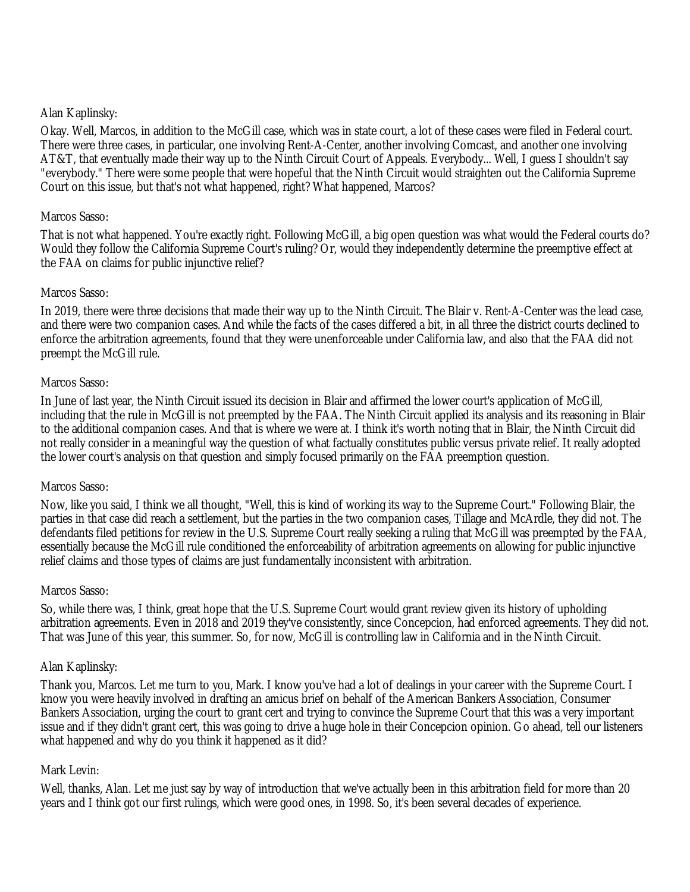#### Alan Kaplinsky:

Okay. Well, Marcos, in addition to the McGill case, which was in state court, a lot of these cases were filed in Federal court. There were three cases, in particular, one involving Rent-A-Center, another involving Comcast, and another one involving AT&T, that eventually made their way up to the Ninth Circuit Court of Appeals. Everybody... Well, I guess I shouldn't say "everybody." There were some people that were hopeful that the Ninth Circuit would straighten out the California Supreme Court on this issue, but that's not what happened, right? What happened, Marcos?

#### Marcos Sasso:

That is not what happened. You're exactly right. Following McGill, a big open question was what would the Federal courts do? Would they follow the California Supreme Court's ruling? Or, would they independently determine the preemptive effect at the FAA on claims for public injunctive relief?

### Marcos Sasso:

In 2019, there were three decisions that made their way up to the Ninth Circuit. The Blair v. Rent-A-Center was the lead case, and there were two companion cases. And while the facts of the cases differed a bit, in all three the district courts declined to enforce the arbitration agreements, found that they were unenforceable under California law, and also that the FAA did not preempt the McGill rule.

#### Marcos Sasso:

In June of last year, the Ninth Circuit issued its decision in Blair and affirmed the lower court's application of McGill, including that the rule in McGill is not preempted by the FAA. The Ninth Circuit applied its analysis and its reasoning in Blair to the additional companion cases. And that is where we were at. I think it's worth noting that in Blair, the Ninth Circuit did not really consider in a meaningful way the question of what factually constitutes public versus private relief. It really adopted the lower court's analysis on that question and simply focused primarily on the FAA preemption question.

#### Marcos Sasso:

Now, like you said, I think we all thought, "Well, this is kind of working its way to the Supreme Court." Following Blair, the parties in that case did reach a settlement, but the parties in the two companion cases, Tillage and McArdle, they did not. The defendants filed petitions for review in the U.S. Supreme Court really seeking a ruling that McGill was preempted by the FAA, essentially because the McGill rule conditioned the enforceability of arbitration agreements on allowing for public injunctive relief claims and those types of claims are just fundamentally inconsistent with arbitration.

#### Marcos Sasso:

So, while there was, I think, great hope that the U.S. Supreme Court would grant review given its history of upholding arbitration agreements. Even in 2018 and 2019 they've consistently, since Concepcion, had enforced agreements. They did not. That was June of this year, this summer. So, for now, McGill is controlling law in California and in the Ninth Circuit.

#### Alan Kaplinsky:

Thank you, Marcos. Let me turn to you, Mark. I know you've had a lot of dealings in your career with the Supreme Court. I know you were heavily involved in drafting an amicus brief on behalf of the American Bankers Association, Consumer Bankers Association, urging the court to grant cert and trying to convince the Supreme Court that this was a very important issue and if they didn't grant cert, this was going to drive a huge hole in their Concepcion opinion. Go ahead, tell our listeners what happened and why do you think it happened as it did?

#### Mark Levin:

Well, thanks, Alan. Let me just say by way of introduction that we've actually been in this arbitration field for more than 20 years and I think got our first rulings, which were good ones, in 1998. So, it's been several decades of experience.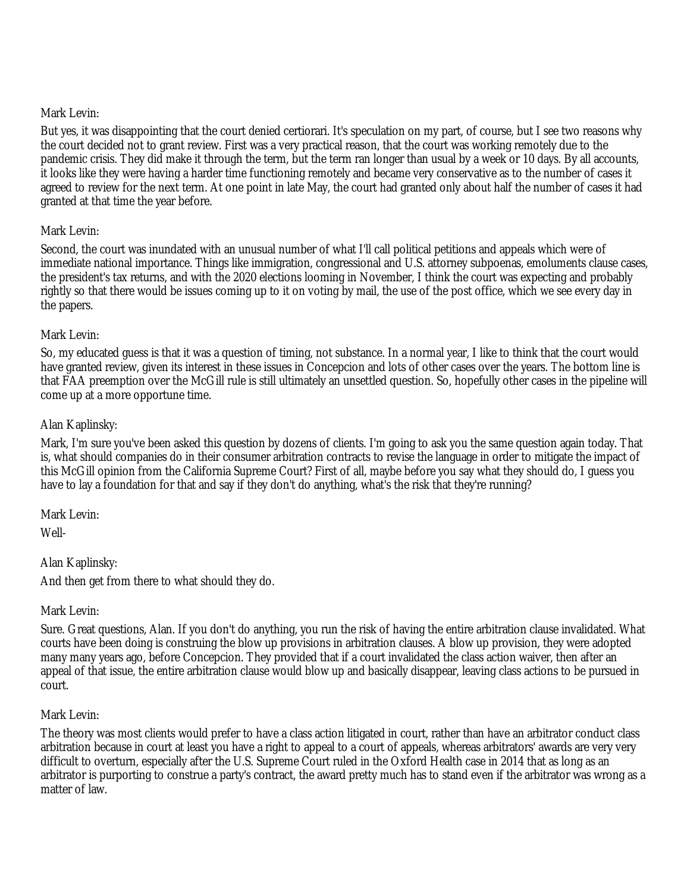#### Mark Levin:

But yes, it was disappointing that the court denied certiorari. It's speculation on my part, of course, but I see two reasons why the court decided not to grant review. First was a very practical reason, that the court was working remotely due to the pandemic crisis. They did make it through the term, but the term ran longer than usual by a week or 10 days. By all accounts, it looks like they were having a harder time functioning remotely and became very conservative as to the number of cases it agreed to review for the next term. At one point in late May, the court had granted only about half the number of cases it had granted at that time the year before.

## Mark Levin:

Second, the court was inundated with an unusual number of what I'll call political petitions and appeals which were of immediate national importance. Things like immigration, congressional and U.S. attorney subpoenas, emoluments clause cases, the president's tax returns, and with the 2020 elections looming in November, I think the court was expecting and probably rightly so that there would be issues coming up to it on voting by mail, the use of the post office, which we see every day in the papers.

### Mark Levin:

So, my educated guess is that it was a question of timing, not substance. In a normal year, I like to think that the court would have granted review, given its interest in these issues in Concepcion and lots of other cases over the years. The bottom line is that FAA preemption over the McGill rule is still ultimately an unsettled question. So, hopefully other cases in the pipeline will come up at a more opportune time.

### Alan Kaplinsky:

Mark, I'm sure you've been asked this question by dozens of clients. I'm going to ask you the same question again today. That is, what should companies do in their consumer arbitration contracts to revise the language in order to mitigate the impact of this McGill opinion from the California Supreme Court? First of all, maybe before you say what they should do, I guess you have to lay a foundation for that and say if they don't do anything, what's the risk that they're running?

Mark Levin:

Well-

## Alan Kaplinsky:

And then get from there to what should they do.

## Mark Levin:

Sure. Great questions, Alan. If you don't do anything, you run the risk of having the entire arbitration clause invalidated. What courts have been doing is construing the blow up provisions in arbitration clauses. A blow up provision, they were adopted many many years ago, before Concepcion. They provided that if a court invalidated the class action waiver, then after an appeal of that issue, the entire arbitration clause would blow up and basically disappear, leaving class actions to be pursued in court.

#### Mark Levin:

The theory was most clients would prefer to have a class action litigated in court, rather than have an arbitrator conduct class arbitration because in court at least you have a right to appeal to a court of appeals, whereas arbitrators' awards are very very difficult to overturn, especially after the U.S. Supreme Court ruled in the Oxford Health case in 2014 that as long as an arbitrator is purporting to construe a party's contract, the award pretty much has to stand even if the arbitrator was wrong as a matter of law.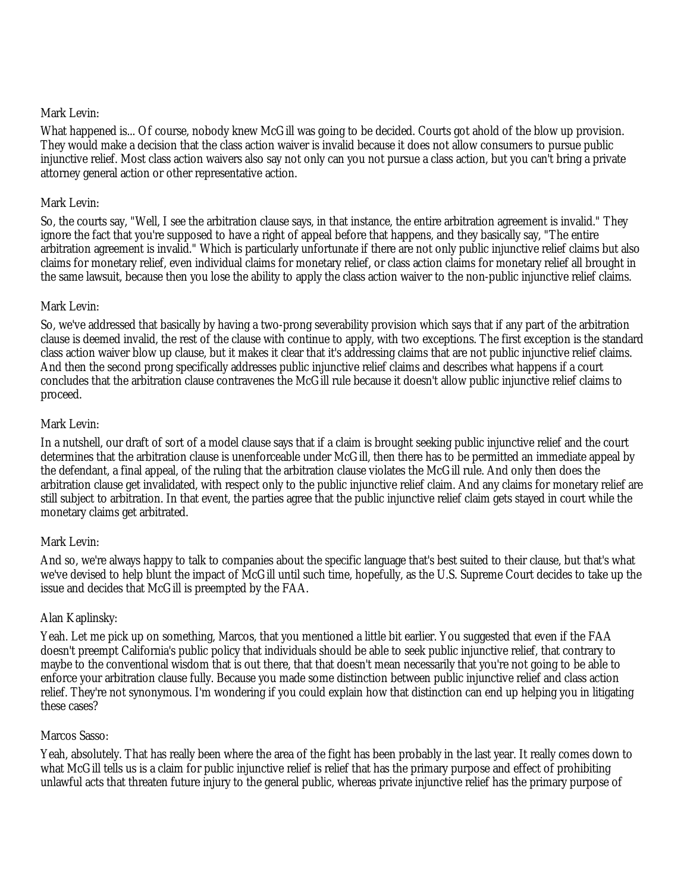#### Mark Levin:

What happened is... Of course, nobody knew McGill was going to be decided. Courts got ahold of the blow up provision. They would make a decision that the class action waiver is invalid because it does not allow consumers to pursue public injunctive relief. Most class action waivers also say not only can you not pursue a class action, but you can't bring a private attorney general action or other representative action.

### Mark Levin:

So, the courts say, "Well, I see the arbitration clause says, in that instance, the entire arbitration agreement is invalid." They ignore the fact that you're supposed to have a right of appeal before that happens, and they basically say, "The entire arbitration agreement is invalid." Which is particularly unfortunate if there are not only public injunctive relief claims but also claims for monetary relief, even individual claims for monetary relief, or class action claims for monetary relief all brought in the same lawsuit, because then you lose the ability to apply the class action waiver to the non-public injunctive relief claims.

### Mark Levin:

So, we've addressed that basically by having a two-prong severability provision which says that if any part of the arbitration clause is deemed invalid, the rest of the clause with continue to apply, with two exceptions. The first exception is the standard class action waiver blow up clause, but it makes it clear that it's addressing claims that are not public injunctive relief claims. And then the second prong specifically addresses public injunctive relief claims and describes what happens if a court concludes that the arbitration clause contravenes the McGill rule because it doesn't allow public injunctive relief claims to proceed.

### Mark Levin:

In a nutshell, our draft of sort of a model clause says that if a claim is brought seeking public injunctive relief and the court determines that the arbitration clause is unenforceable under McGill, then there has to be permitted an immediate appeal by the defendant, a final appeal, of the ruling that the arbitration clause violates the McGill rule. And only then does the arbitration clause get invalidated, with respect only to the public injunctive relief claim. And any claims for monetary relief are still subject to arbitration. In that event, the parties agree that the public injunctive relief claim gets stayed in court while the monetary claims get arbitrated.

#### Mark Levin:

And so, we're always happy to talk to companies about the specific language that's best suited to their clause, but that's what we've devised to help blunt the impact of McGill until such time, hopefully, as the U.S. Supreme Court decides to take up the issue and decides that McGill is preempted by the FAA.

## Alan Kaplinsky:

Yeah. Let me pick up on something, Marcos, that you mentioned a little bit earlier. You suggested that even if the FAA doesn't preempt California's public policy that individuals should be able to seek public injunctive relief, that contrary to maybe to the conventional wisdom that is out there, that that doesn't mean necessarily that you're not going to be able to enforce your arbitration clause fully. Because you made some distinction between public injunctive relief and class action relief. They're not synonymous. I'm wondering if you could explain how that distinction can end up helping you in litigating these cases?

#### Marcos Sasso:

Yeah, absolutely. That has really been where the area of the fight has been probably in the last year. It really comes down to what McGill tells us is a claim for public injunctive relief is relief that has the primary purpose and effect of prohibiting unlawful acts that threaten future injury to the general public, whereas private injunctive relief has the primary purpose of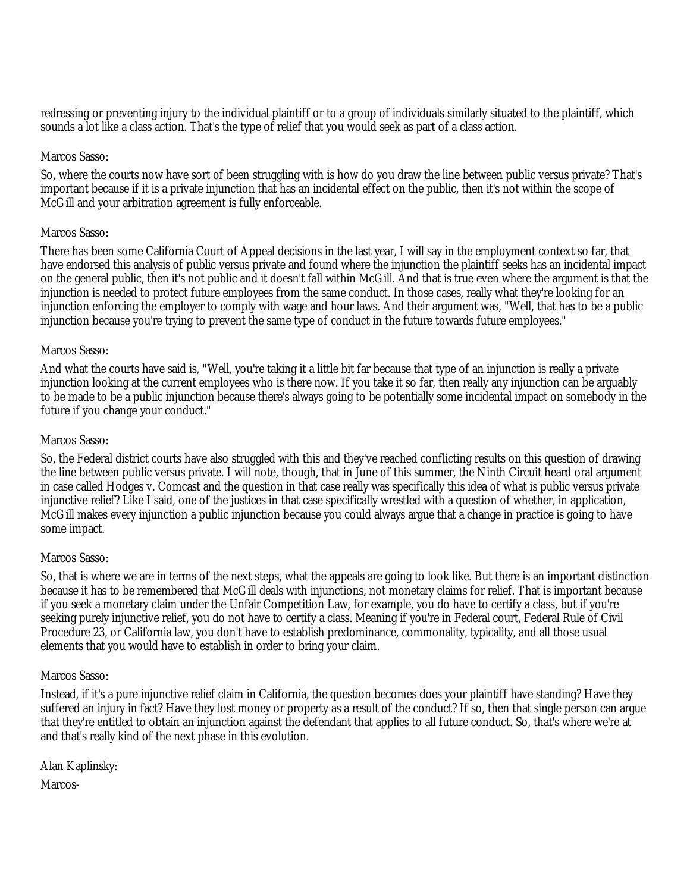redressing or preventing injury to the individual plaintiff or to a group of individuals similarly situated to the plaintiff, which sounds a lot like a class action. That's the type of relief that you would seek as part of a class action.

#### Marcos Sasso:

So, where the courts now have sort of been struggling with is how do you draw the line between public versus private? That's important because if it is a private injunction that has an incidental effect on the public, then it's not within the scope of McGill and your arbitration agreement is fully enforceable.

### Marcos Sasso:

There has been some California Court of Appeal decisions in the last year, I will say in the employment context so far, that have endorsed this analysis of public versus private and found where the injunction the plaintiff seeks has an incidental impact on the general public, then it's not public and it doesn't fall within McGill. And that is true even where the argument is that the injunction is needed to protect future employees from the same conduct. In those cases, really what they're looking for an injunction enforcing the employer to comply with wage and hour laws. And their argument was, "Well, that has to be a public injunction because you're trying to prevent the same type of conduct in the future towards future employees."

### Marcos Sasso:

And what the courts have said is, "Well, you're taking it a little bit far because that type of an injunction is really a private injunction looking at the current employees who is there now. If you take it so far, then really any injunction can be arguably to be made to be a public injunction because there's always going to be potentially some incidental impact on somebody in the future if you change your conduct."

### Marcos Sasso:

So, the Federal district courts have also struggled with this and they've reached conflicting results on this question of drawing the line between public versus private. I will note, though, that in June of this summer, the Ninth Circuit heard oral argument in case called Hodges v. Comcast and the question in that case really was specifically this idea of what is public versus private injunctive relief? Like I said, one of the justices in that case specifically wrestled with a question of whether, in application, McGill makes every injunction a public injunction because you could always argue that a change in practice is going to have some impact.

#### Marcos Sasso:

So, that is where we are in terms of the next steps, what the appeals are going to look like. But there is an important distinction because it has to be remembered that McGill deals with injunctions, not monetary claims for relief. That is important because if you seek a monetary claim under the Unfair Competition Law, for example, you do have to certify a class, but if you're seeking purely injunctive relief, you do not have to certify a class. Meaning if you're in Federal court, Federal Rule of Civil Procedure 23, or California law, you don't have to establish predominance, commonality, typicality, and all those usual elements that you would have to establish in order to bring your claim.

#### Marcos Sasso:

Instead, if it's a pure injunctive relief claim in California, the question becomes does your plaintiff have standing? Have they suffered an injury in fact? Have they lost money or property as a result of the conduct? If so, then that single person can argue that they're entitled to obtain an injunction against the defendant that applies to all future conduct. So, that's where we're at and that's really kind of the next phase in this evolution.

Alan Kaplinsky: Marcos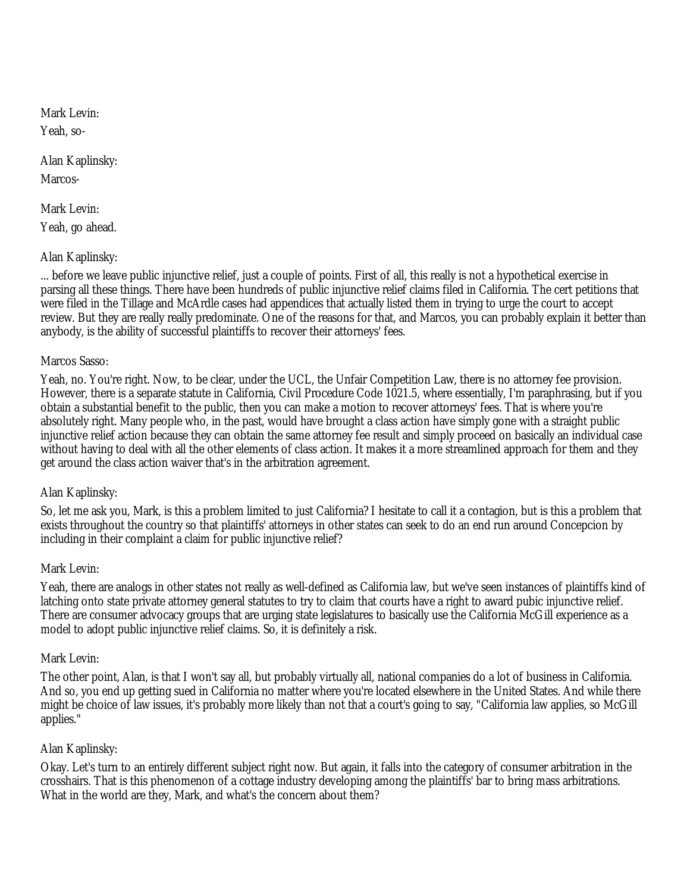Mark Levin: Yeah, so-

Alan Kaplinsky: Marcos-

Mark Levin: Yeah, go ahead.

### Alan Kaplinsky:

... before we leave public injunctive relief, just a couple of points. First of all, this really is not a hypothetical exercise in parsing all these things. There have been hundreds of public injunctive relief claims filed in California. The cert petitions that were filed in the Tillage and McArdle cases had appendices that actually listed them in trying to urge the court to accept review. But they are really really predominate. One of the reasons for that, and Marcos, you can probably explain it better than anybody, is the ability of successful plaintiffs to recover their attorneys' fees.

#### Marcos Sasso:

Yeah, no. You're right. Now, to be clear, under the UCL, the Unfair Competition Law, there is no attorney fee provision. However, there is a separate statute in California, Civil Procedure Code 1021.5, where essentially, I'm paraphrasing, but if you obtain a substantial benefit to the public, then you can make a motion to recover attorneys' fees. That is where you're absolutely right. Many people who, in the past, would have brought a class action have simply gone with a straight public injunctive relief action because they can obtain the same attorney fee result and simply proceed on basically an individual case without having to deal with all the other elements of class action. It makes it a more streamlined approach for them and they get around the class action waiver that's in the arbitration agreement.

#### Alan Kaplinsky:

So, let me ask you, Mark, is this a problem limited to just California? I hesitate to call it a contagion, but is this a problem that exists throughout the country so that plaintiffs' attorneys in other states can seek to do an end run around Concepcion by including in their complaint a claim for public injunctive relief?

#### Mark Levin:

Yeah, there are analogs in other states not really as well-defined as California law, but we've seen instances of plaintiffs kind of latching onto state private attorney general statutes to try to claim that courts have a right to award pubic injunctive relief. There are consumer advocacy groups that are urging state legislatures to basically use the California McGill experience as a model to adopt public injunctive relief claims. So, it is definitely a risk.

#### Mark Levin:

The other point, Alan, is that I won't say all, but probably virtually all, national companies do a lot of business in California. And so, you end up getting sued in California no matter where you're located elsewhere in the United States. And while there might be choice of law issues, it's probably more likely than not that a court's going to say, "California law applies, so McGill applies."

## Alan Kaplinsky:

Okay. Let's turn to an entirely different subject right now. But again, it falls into the category of consumer arbitration in the crosshairs. That is this phenomenon of a cottage industry developing among the plaintiffs' bar to bring mass arbitrations. What in the world are they, Mark, and what's the concern about them?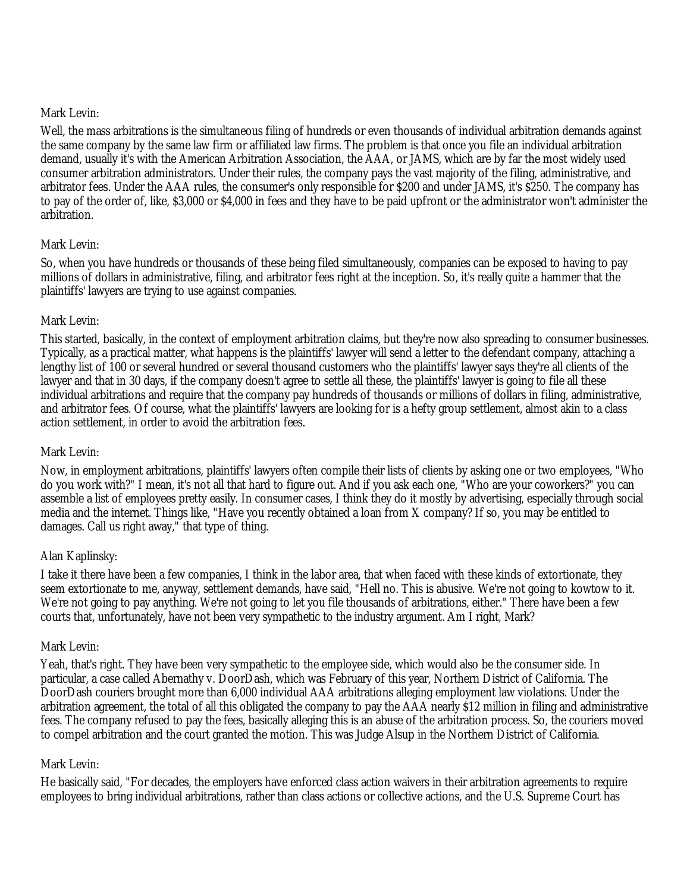#### Mark Levin:

Well, the mass arbitrations is the simultaneous filing of hundreds or even thousands of individual arbitration demands against the same company by the same law firm or affiliated law firms. The problem is that once you file an individual arbitration demand, usually it's with the American Arbitration Association, the AAA, or JAMS, which are by far the most widely used consumer arbitration administrators. Under their rules, the company pays the vast majority of the filing, administrative, and arbitrator fees. Under the AAA rules, the consumer's only responsible for \$200 and under JAMS, it's \$250. The company has to pay of the order of, like, \$3,000 or \$4,000 in fees and they have to be paid upfront or the administrator won't administer the arbitration.

### Mark Levin:

So, when you have hundreds or thousands of these being filed simultaneously, companies can be exposed to having to pay millions of dollars in administrative, filing, and arbitrator fees right at the inception. So, it's really quite a hammer that the plaintiffs' lawyers are trying to use against companies.

### Mark Levin:

This started, basically, in the context of employment arbitration claims, but they're now also spreading to consumer businesses. Typically, as a practical matter, what happens is the plaintiffs' lawyer will send a letter to the defendant company, attaching a lengthy list of 100 or several hundred or several thousand customers who the plaintiffs' lawyer says they're all clients of the lawyer and that in 30 days, if the company doesn't agree to settle all these, the plaintiffs' lawyer is going to file all these individual arbitrations and require that the company pay hundreds of thousands or millions of dollars in filing, administrative, and arbitrator fees. Of course, what the plaintiffs' lawyers are looking for is a hefty group settlement, almost akin to a class action settlement, in order to avoid the arbitration fees.

## Mark Levin:

Now, in employment arbitrations, plaintiffs' lawyers often compile their lists of clients by asking one or two employees, "Who do you work with?" I mean, it's not all that hard to figure out. And if you ask each one, "Who are your coworkers?" you can assemble a list of employees pretty easily. In consumer cases, I think they do it mostly by advertising, especially through social media and the internet. Things like, "Have you recently obtained a loan from X company? If so, you may be entitled to damages. Call us right away," that type of thing.

## Alan Kaplinsky:

I take it there have been a few companies, I think in the labor area, that when faced with these kinds of extortionate, they seem extortionate to me, anyway, settlement demands, have said, "Hell no. This is abusive. We're not going to kowtow to it. We're not going to pay anything. We're not going to let you file thousands of arbitrations, either." There have been a few courts that, unfortunately, have not been very sympathetic to the industry argument. Am I right, Mark?

#### Mark Levin:

Yeah, that's right. They have been very sympathetic to the employee side, which would also be the consumer side. In particular, a case called Abernathy v. DoorDash, which was February of this year, Northern District of California. The DoorDash couriers brought more than 6,000 individual AAA arbitrations alleging employment law violations. Under the arbitration agreement, the total of all this obligated the company to pay the AAA nearly \$12 million in filing and administrative fees. The company refused to pay the fees, basically alleging this is an abuse of the arbitration process. So, the couriers moved to compel arbitration and the court granted the motion. This was Judge Alsup in the Northern District of California.

#### Mark Levin:

He basically said, "For decades, the employers have enforced class action waivers in their arbitration agreements to require employees to bring individual arbitrations, rather than class actions or collective actions, and the U.S. Supreme Court has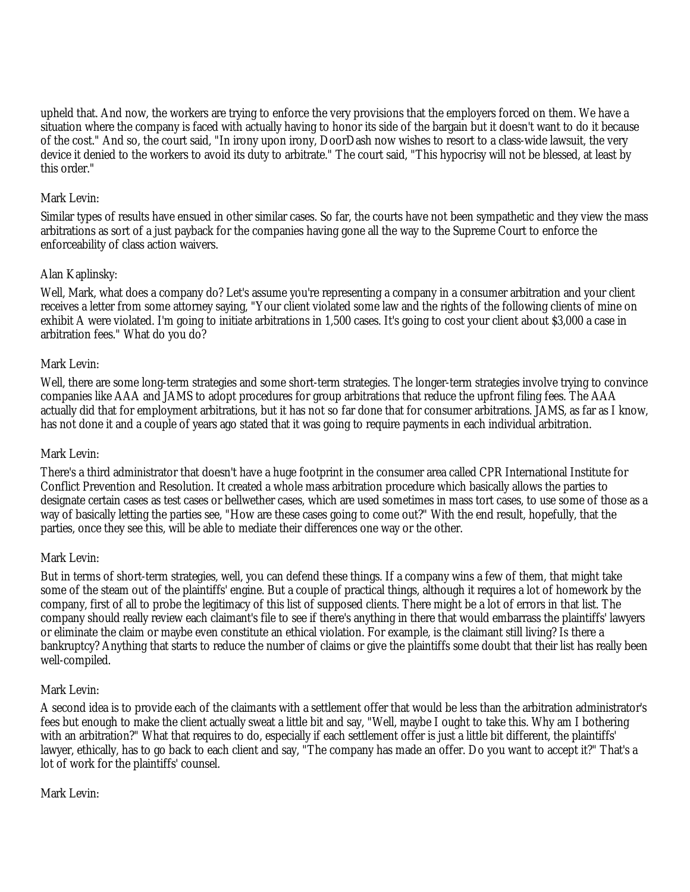upheld that. And now, the workers are trying to enforce the very provisions that the employers forced on them. We have a situation where the company is faced with actually having to honor its side of the bargain but it doesn't want to do it because of the cost." And so, the court said, "In irony upon irony, DoorDash now wishes to resort to a class-wide lawsuit, the very device it denied to the workers to avoid its duty to arbitrate." The court said, "This hypocrisy will not be blessed, at least by this order."

### Mark Levin:

Similar types of results have ensued in other similar cases. So far, the courts have not been sympathetic and they view the mass arbitrations as sort of a just payback for the companies having gone all the way to the Supreme Court to enforce the enforceability of class action waivers.

## Alan Kaplinsky:

Well, Mark, what does a company do? Let's assume you're representing a company in a consumer arbitration and your client receives a letter from some attorney saying, "Your client violated some law and the rights of the following clients of mine on exhibit A were violated. I'm going to initiate arbitrations in 1,500 cases. It's going to cost your client about \$3,000 a case in arbitration fees." What do you do?

#### Mark Levin:

Well, there are some long-term strategies and some short-term strategies. The longer-term strategies involve trying to convince companies like AAA and JAMS to adopt procedures for group arbitrations that reduce the upfront filing fees. The AAA actually did that for employment arbitrations, but it has not so far done that for consumer arbitrations. JAMS, as far as I know, has not done it and a couple of years ago stated that it was going to require payments in each individual arbitration.

#### Mark Levin:

There's a third administrator that doesn't have a huge footprint in the consumer area called CPR International Institute for Conflict Prevention and Resolution. It created a whole mass arbitration procedure which basically allows the parties to designate certain cases as test cases or bellwether cases, which are used sometimes in mass tort cases, to use some of those as a way of basically letting the parties see, "How are these cases going to come out?" With the end result, hopefully, that the parties, once they see this, will be able to mediate their differences one way or the other.

#### Mark Levin:

But in terms of short-term strategies, well, you can defend these things. If a company wins a few of them, that might take some of the steam out of the plaintiffs' engine. But a couple of practical things, although it requires a lot of homework by the company, first of all to probe the legitimacy of this list of supposed clients. There might be a lot of errors in that list. The company should really review each claimant's file to see if there's anything in there that would embarrass the plaintiffs' lawyers or eliminate the claim or maybe even constitute an ethical violation. For example, is the claimant still living? Is there a bankruptcy? Anything that starts to reduce the number of claims or give the plaintiffs some doubt that their list has really been well-compiled.

#### Mark Levin:

A second idea is to provide each of the claimants with a settlement offer that would be less than the arbitration administrator's fees but enough to make the client actually sweat a little bit and say, "Well, maybe I ought to take this. Why am I bothering with an arbitration?" What that requires to do, especially if each settlement offer is just a little bit different, the plaintiffs' lawyer, ethically, has to go back to each client and say, "The company has made an offer. Do you want to accept it?" That's a lot of work for the plaintiffs' counsel.

#### Mark Levin: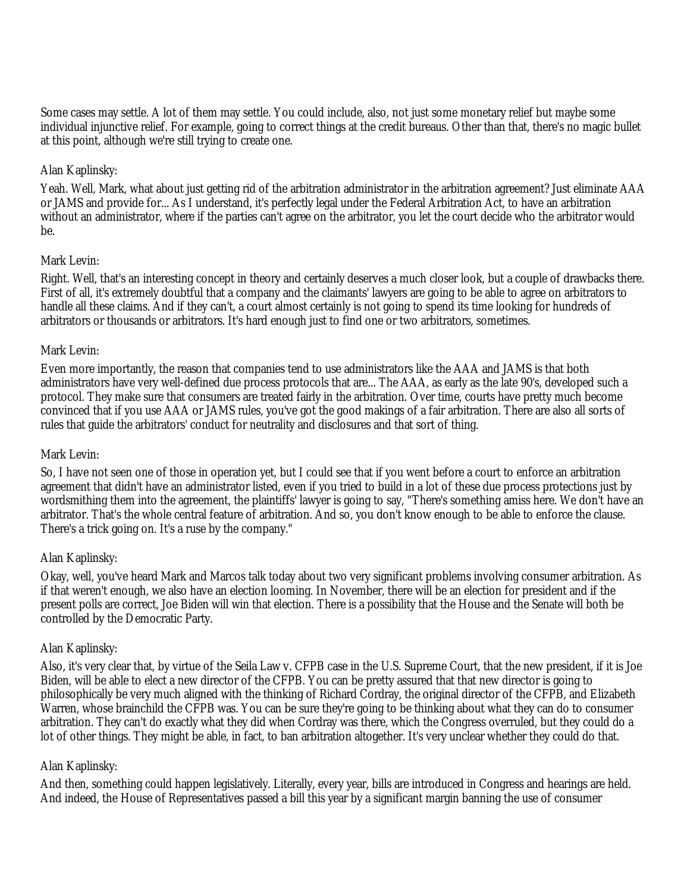Some cases may settle. A lot of them may settle. You could include, also, not just some monetary relief but maybe some individual injunctive relief. For example, going to correct things at the credit bureaus. Other than that, there's no magic bullet at this point, although we're still trying to create one.

### Alan Kaplinsky:

Yeah. Well, Mark, what about just getting rid of the arbitration administrator in the arbitration agreement? Just eliminate AAA or JAMS and provide for... As I understand, it's perfectly legal under the Federal Arbitration Act, to have an arbitration without an administrator, where if the parties can't agree on the arbitrator, you let the court decide who the arbitrator would be.

#### Mark Levin:

Right. Well, that's an interesting concept in theory and certainly deserves a much closer look, but a couple of drawbacks there. First of all, it's extremely doubtful that a company and the claimants' lawyers are going to be able to agree on arbitrators to handle all these claims. And if they can't, a court almost certainly is not going to spend its time looking for hundreds of arbitrators or thousands or arbitrators. It's hard enough just to find one or two arbitrators, sometimes.

### Mark Levin:

Even more importantly, the reason that companies tend to use administrators like the AAA and JAMS is that both administrators have very well-defined due process protocols that are... The AAA, as early as the late 90's, developed such a protocol. They make sure that consumers are treated fairly in the arbitration. Over time, courts have pretty much become convinced that if you use AAA or JAMS rules, you've got the good makings of a fair arbitration. There are also all sorts of rules that guide the arbitrators' conduct for neutrality and disclosures and that sort of thing.

#### Mark Levin:

So, I have not seen one of those in operation yet, but I could see that if you went before a court to enforce an arbitration agreement that didn't have an administrator listed, even if you tried to build in a lot of these due process protections just by wordsmithing them into the agreement, the plaintiffs' lawyer is going to say, "There's something amiss here. We don't have an arbitrator. That's the whole central feature of arbitration. And so, you don't know enough to be able to enforce the clause. There's a trick going on. It's a ruse by the company."

#### Alan Kaplinsky:

Okay, well, you've heard Mark and Marcos talk today about two very significant problems involving consumer arbitration. As if that weren't enough, we also have an election looming. In November, there will be an election for president and if the present polls are correct, Joe Biden will win that election. There is a possibility that the House and the Senate will both be controlled by the Democratic Party.

#### Alan Kaplinsky:

Also, it's very clear that, by virtue of the Seila Law v. CFPB case in the U.S. Supreme Court, that the new president, if it is Joe Biden, will be able to elect a new director of the CFPB. You can be pretty assured that that new director is going to philosophically be very much aligned with the thinking of Richard Cordray, the original director of the CFPB, and Elizabeth Warren, whose brainchild the CFPB was. You can be sure they're going to be thinking about what they can do to consumer arbitration. They can't do exactly what they did when Cordray was there, which the Congress overruled, but they could do a lot of other things. They might be able, in fact, to ban arbitration altogether. It's very unclear whether they could do that.

## Alan Kaplinsky:

And then, something could happen legislatively. Literally, every year, bills are introduced in Congress and hearings are held. And indeed, the House of Representatives passed a bill this year by a significant margin banning the use of consumer